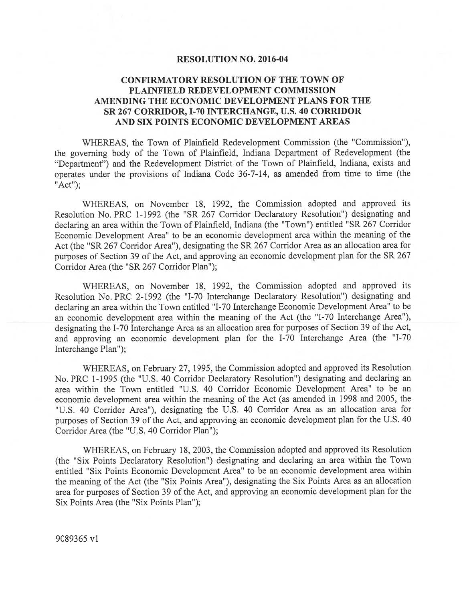### RESOLUTION NO. 2016-04

# CONFIRMATORY RESOLUTION OF THE TOWN OF PLAINFIELD REDEVELOPMENT COMMISSION AMENDING THE ECONOMIC DEVELOPMENT PLANS FOR THE SR 267 CORRIDOR, 1-70 INTERCHANGE, U.S. 40 CORRIDOR AND SIX POINTS ECONOMIC DEVELOPMENT AREAS

WHEREAS, the Town of Plainfield Redevelopment Commission (the "Commission"), the governing body of the Town of Plainfield, Indiana Department of Redevelopment (the 'Department") and the Redevelopment District of the Town of Plainfield, Indiana, exists and operates under the provisions of Indiana Code 36-7-14, as amended from time to time (the "Act");

WHEREAS, on November 18, 1992, the Commission adopted and approved its Resolution No. PRC 1-1992 (the "SR 267 Corridor Declaratory Resolution") designating and declaring an area within the Town of Plainfield, Indiana (the "Town") entitled "SR <sup>267</sup> Corridor Economic Development Area" to be an economic development area within the meaning of the Act (the "SR <sup>267</sup> Corridor Area"), designating the SR <sup>267</sup> Corridor Area as an allocation area for purposes of Section <sup>39</sup> of the Act, and approving an economic development <sup>p</sup>lan for the SR <sup>267</sup> Corridor Area (the "SR 267 Corridor Plan");

WHEREAS, on November 18, 1992, the Commission adopted and approved its Resolution No. PRC 2-1992 (the "1-70 Interchange Declaratory Resolution") designating and declaring an area within the Town entitled "1-70 Interchange Economic Development Area" to be an economic development area within the meaning of the Act (the "1-70 Interchange Area"), designating the 1-70 Interchange Area as an allocation area for purposes of Section <sup>39</sup> of the Act, and approving an economic development <sup>p</sup>lan for the 1-70 Interchange Area (the "1-70 Interchange Plan");

WHEREAS, on February 27, 1995, the Commission adopted and approve<sup>d</sup> its Resolution No. PRC 1-1995 (the "U.S. 40 Corridor Declaratory Resolution") designating and declaring an area within the Town entitled "U.S. 40 Corridor Economic Development Area" to be an economic development area within the meaning of the Act (as amended in <sup>1998</sup> and 2005, the "U.S. <sup>40</sup> Corridor Area"), designating the U.S. <sup>40</sup> Corridor Area as an allocation area for purposes of Section <sup>39</sup> of the Act, and approving an economic development <sup>p</sup>lan for the U.S. <sup>40</sup> Corridor Area (the "U.S. 40 Corridor Plan");

WHEREAS, on February 12, 2003, the Commission adopted and approve<sup>d</sup> its Resolution (the "Six Points Declaratory Resolution") designating and declaring an area within the Town entitled "Six Points Economic Development Area" to be an economic development area within the meaning of the Act (the "Six Points Area"), designating the Six Points Area as an allocation area for purposes of Section <sup>39</sup> of the Act, and approving an economic development <sup>p</sup>lan for the Six Points Area (the "Six Points Plan");

9089365 vi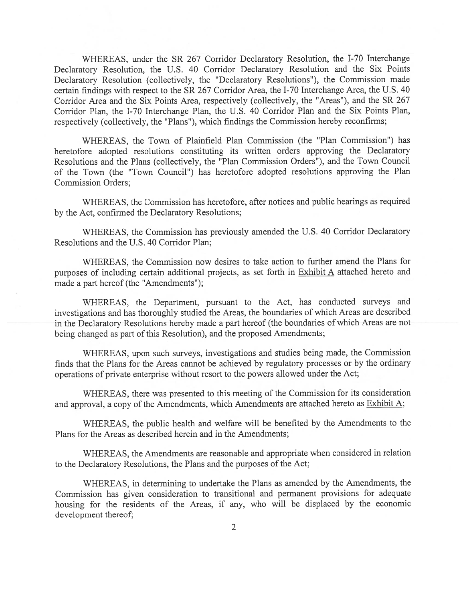WHEREAS, under the SR 267 Corridor Declaratory Resolution, the 1-70 Interchange Declaratory Resolution, the U.S. <sup>40</sup> Corridor Declaratory Resolution and the Six Points Declaratory Resolution (collectively, the "Declaratory Resolutions'), the Commission made certain findings with respec<sup>t</sup> to the SR <sup>267</sup> Corridor Area, the 1-70 Interchange Area, the U.S. <sup>40</sup> Corridor Area and the Six Points Area, respectively (collectively, the "Areas"), and the SR 267 Corridor Plan, the 1-70 Interchange Plan, the U.S. <sup>40</sup> Corridor Plan and the Six Points Plan, respectively (collectively, the "Plans"), which findings the Commission hereby reconfirms;

WHEREAS, the Town of Plainfield Plan Commission (the "Plan Commission") has heretofore adopted resolutions constituting its written orders approving the Declaratory Resolutions and the Plans (collectively, the "Plan Commission Orders"), and the Town Council of the Town (the "Town Council") has heretofore adopted resolutions approving the Plan Commission Orders;

WHEREAS, the Commission has heretofore, after notices and public hearings as required by the Act, confirmed the Declaratory Resolutions;

WHEREAS, the Commission has previously amended the U.S. 40 Corridor Declaratory Resolutions and the U.S. 40 Corridor Plan;

WHEREAS, the Commission now desires to take action to further amend the Plans for purposes of including certain additional projects, as set forth in Exhibit A attached hereto and made <sup>a</sup> par<sup>t</sup> hereof (the "Amendments");

WHEREAS, the Department, pursuan<sup>t</sup> to the Act, has conducted surveys and investigations and has thoroughly studied the Areas, the boundaries of which Areas are described in the Declaratory Resolutions hereby made <sup>a</sup> par<sup>t</sup> hereof (the boundaries of which Areas are not being changed as par<sup>t</sup> of this Resolution), and the proposed Amendments;

WHEREAS, upon such surveys, investigations and studies being made, the Commission finds that the Plans for the Areas cannot be achieved by regulatory processes or by the ordinary operations of private enterprise without resort to the powers allowed under the Act;

WHEREAS, there was presented to this meeting of the Commission for its consideration and approval, a copy of the Amendments, which Amendments are attached hereto as Exhibit  $A$ ;

WHEREAS, the public health and welfare will be benefited by the Amendments to the Plans for the Areas as described herein and in the Amendments;

WHEREAS, the Amendments are reasonable and appropriate when considered in relation to the Declaratory Resolutions, the Plans and the purposes of the Act;

WHEREAS, in determining to undertake the Plans as amended by the Amendments, the Commission has <sup>g</sup>iven consideration to transitional and permanen<sup>t</sup> provisions for adequate housing for the residents of the Areas, if any, who will be displaced by the economic development thereof;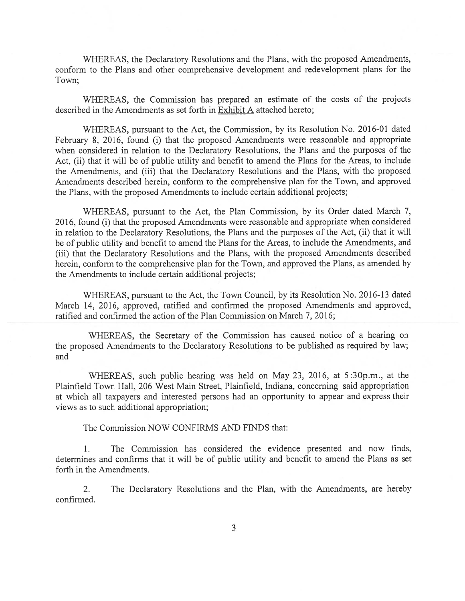WHEREAS, the Declaratory Resolutions and the Plans, with the proposed Amendments, conform to the Plans and other comprehensive development and redevelopment plans for the Town;

WHEREAS, the Commission has prepared an estimate of the costs of the projects described in the Amendments as set forth in Exhibit A attached hereto;

WHEREAS, pursuan<sup>t</sup> to the Act, the Commission, by its Resolution No. 2016-01 dated February 8, 2016, found (i) that the proposed Amendments were reasonable and appropriate when considered in relation to the Declaratory Resolutions, the Plans and the purposes of the Act, (ii) that it will be of public utility and benefit to amend the Plans for the Areas, to include the Amendments, and (iii) that the Declaratory Resolutions and the Plans, with the proposed Amendments described herein, conform to the comprehensive plan for the Town, and approved the Plans, with the proposed Amendments to include certain additional projects;

WHEREAS, pursuan<sup>t</sup> to the Act, the Plan Commission, by its Order dated March 7, 2016, found (1) that the proposed Amendments were reasonable and appropriate when considered in relation to the Declaratory Resolutions, the Plans and the purposes of the Act, (ii) that it will be of public utility and benefit to amend the Plans for the Areas, to include the Amendments, and (iii) that the Declaratory Resolutions and the Plans, with the proposed Amendments described herein, conform to the comprehensive plan for the Town, and approved the Plans, as amended by the Amendments to include certain additional projects;

WHEREAS, pursuant to the Act, the Town Council, by its Resolution No. 2016-13 dated March 14, 2016, approved, ratified and confirmed the proposed Amendments and approved, ratified and confirmed the action of the Plan Commission on March 7, 2016;

WHEREAS, the Secretary of the Commission has caused notice of <sup>a</sup> hearing on the proposed Amendments to the Declaratory Resolutions to be published as required by law; and

WHEREAS, such public hearing was held on May 23, 2016, at 5 :30p.m., at the Plainfield Town Hall, 206 West Main Street, Plainfield, Indiana, conceming said appropriation at which all taxpayers and interested persons had an opportunity to appear and express their views as to such additional appropriation;

The Commission NOW CONFIRMS AND FINDS that:

1. The Commission has considered the evidence presented and now finds, determines and confirms that it will be of public utility and benefit to amend the Plans as set forth in the Amendments.

2. The Declaratory Resolutions and the Plan, with the Amendments, are hereby confirmed.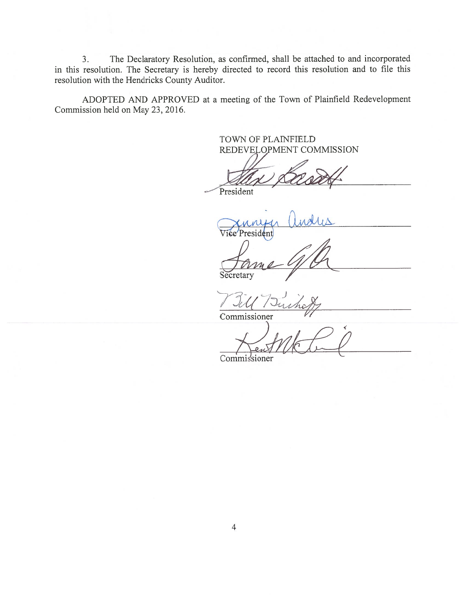3. The Declaratory Resolution, as confirmed, shall be attached to and incorporated in this resolution. The Secretary is hereby directed to record this resolution and to file this resolution with the Hendricks County Auditor.

ADOPTED AND APPROVED at <sup>a</sup> meeting of the Town of Plainfield Redevelopment Commission held on May 23, 2016.

> TOWN OF PLAINFIELD REDEVELOPMENT COMMISSION

President

xnnyer Undus Vice Presiden

**Secretary** Jame G/C

 $\sqrt{\ }$ 

Commissioner

Commissioner